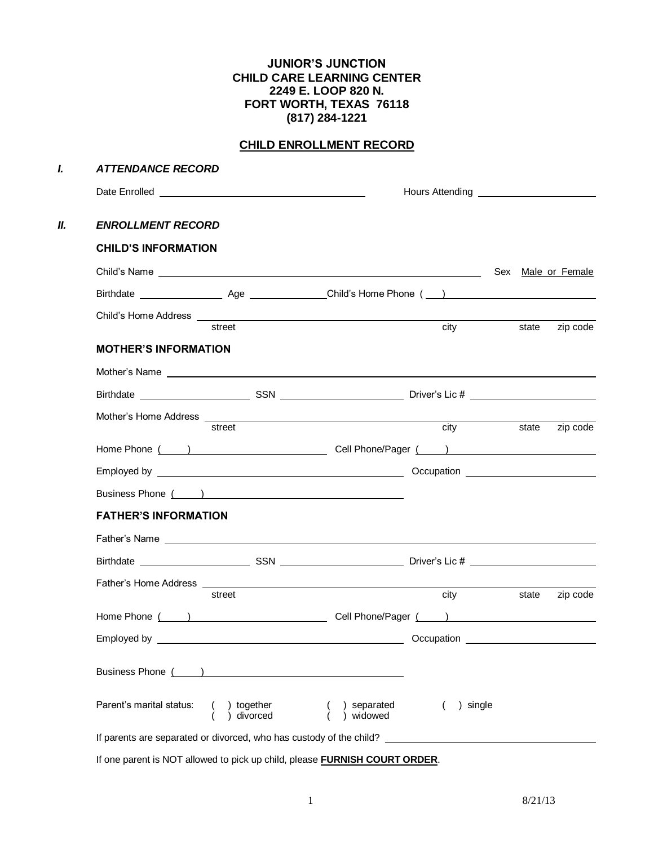## **JUNIOR'S JUNCTION CHILD CARE LEARNING CENTER 2249 E. LOOP 820 N. FORT WORTH, TEXAS 76118 (817) 284-1221**

# **CHILD ENROLLMENT RECORD**

| <b>ATTENDANCE RECORD</b>                                                                                                                                                                                                             |        |                          |             |       |                    |
|--------------------------------------------------------------------------------------------------------------------------------------------------------------------------------------------------------------------------------------|--------|--------------------------|-------------|-------|--------------------|
|                                                                                                                                                                                                                                      |        |                          |             |       |                    |
| <b>ENROLLMENT RECORD</b>                                                                                                                                                                                                             |        |                          |             |       |                    |
| <b>CHILD'S INFORMATION</b>                                                                                                                                                                                                           |        |                          |             |       |                    |
|                                                                                                                                                                                                                                      |        |                          |             |       | Sex Male or Female |
|                                                                                                                                                                                                                                      |        |                          |             |       |                    |
|                                                                                                                                                                                                                                      | street |                          | city        | state | zip code           |
| <b>MOTHER'S INFORMATION</b>                                                                                                                                                                                                          |        |                          |             |       |                    |
| Mother's Name entry and the contract of the contract of the contract of the contract of the contract of the contract of the contract of the contract of the contract of the contract of the contract of the contract of the co       |        |                          |             |       |                    |
|                                                                                                                                                                                                                                      |        |                          |             |       |                    |
| Mother's Home Address <b>experience and the experience of the experience of the experience of the experience of the experience of the experience of the experience of the experience of the experience of the experience of the </b> | street |                          | <b>city</b> | state | zip code           |
|                                                                                                                                                                                                                                      |        |                          |             |       |                    |
|                                                                                                                                                                                                                                      |        |                          |             |       |                    |
|                                                                                                                                                                                                                                      |        |                          |             |       |                    |
| <b>FATHER'S INFORMATION</b>                                                                                                                                                                                                          |        |                          |             |       |                    |
|                                                                                                                                                                                                                                      |        |                          |             |       |                    |
|                                                                                                                                                                                                                                      |        |                          |             |       |                    |
|                                                                                                                                                                                                                                      |        |                          |             |       |                    |
|                                                                                                                                                                                                                                      | street |                          | city        | state | zip code           |
|                                                                                                                                                                                                                                      |        |                          |             |       |                    |
|                                                                                                                                                                                                                                      |        |                          | Occupation  |       |                    |
|                                                                                                                                                                                                                                      |        |                          |             |       |                    |
| Parent's marital status: ( ) together<br>( ) divorced                                                                                                                                                                                |        | ) separated<br>) widowed | ) single    |       |                    |
|                                                                                                                                                                                                                                      |        |                          |             |       |                    |

If one parent is NOT allowed to pick up child, please **FURNISH COURT ORDER**.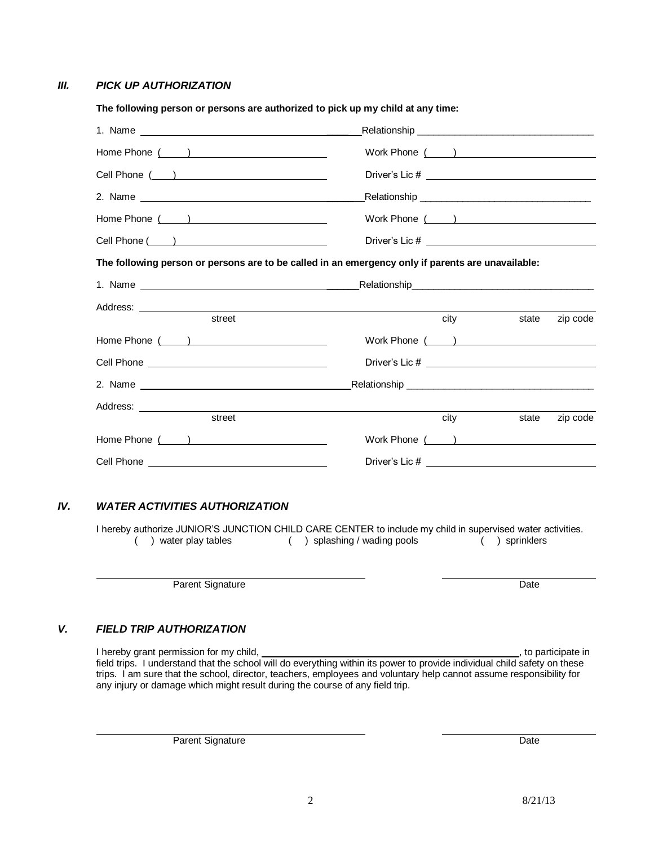### *III. PICK UP AUTHORIZATION*

| The following person or persons are authorized to pick up my child at any time: |                                                                                                                                                                                                                                     |                   |
|---------------------------------------------------------------------------------|-------------------------------------------------------------------------------------------------------------------------------------------------------------------------------------------------------------------------------------|-------------------|
|                                                                                 |                                                                                                                                                                                                                                     |                   |
|                                                                                 |                                                                                                                                                                                                                                     |                   |
|                                                                                 |                                                                                                                                                                                                                                     |                   |
|                                                                                 |                                                                                                                                                                                                                                     |                   |
|                                                                                 |                                                                                                                                                                                                                                     |                   |
|                                                                                 |                                                                                                                                                                                                                                     |                   |
|                                                                                 | The following person or persons are to be called in an emergency only if parents are unavailable:                                                                                                                                   |                   |
|                                                                                 |                                                                                                                                                                                                                                     |                   |
|                                                                                 |                                                                                                                                                                                                                                     |                   |
| street                                                                          | <b>city</b> and the control of the control of the control of the control of the control of the control of the control of the control of the control of the control of the control of the control of the control of the control of t | zip code<br>state |
| Home Phone ( )                                                                  | Work Phone ( )                                                                                                                                                                                                                      |                   |
|                                                                                 |                                                                                                                                                                                                                                     |                   |
|                                                                                 |                                                                                                                                                                                                                                     |                   |
|                                                                                 |                                                                                                                                                                                                                                     |                   |
| street                                                                          | city                                                                                                                                                                                                                                | state<br>zip code |
| Home Phone ( )                                                                  |                                                                                                                                                                                                                                     |                   |
|                                                                                 |                                                                                                                                                                                                                                     |                   |
|                                                                                 |                                                                                                                                                                                                                                     |                   |

### *IV. WATER ACTIVITIES AUTHORIZATION*

I hereby authorize JUNIOR'S JUNCTION CHILD CARE CENTER to include my child in supervised water activities.<br>(1) water play tables (1) splashing / wading pools (1) sprinklers  $( )$  splashing / wading pools

Parent Signature Date

## *V. FIELD TRIP AUTHORIZATION*

I hereby grant permission for my child, **the example of the example of the example of the example of the example of the example of the example of the example of the example of the example of the example of the example of t** field trips. I understand that the school will do everything within its power to provide individual child safety on these trips. I am sure that the school, director, teachers, employees and voluntary help cannot assume responsibility for any injury or damage which might result during the course of any field trip.

Parent Signature Date